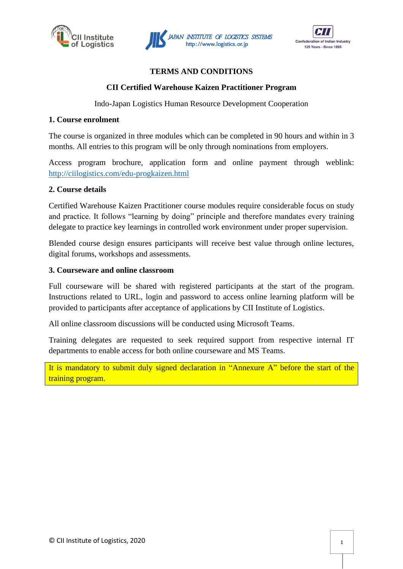





# **TERMS AND CONDITIONS**

# **CII Certified Warehouse Kaizen Practitioner Program**

Indo-Japan Logistics Human Resource Development Cooperation

### **1. Course enrolment**

The course is organized in three modules which can be completed in 90 hours and within in 3 months. All entries to this program will be only through nominations from employers.

Access program brochure, application form and online payment through weblink: <http://ciilogistics.com/edu-progkaizen.html>

### **2. Course details**

Certified Warehouse Kaizen Practitioner course modules require considerable focus on study and practice. It follows "learning by doing" principle and therefore mandates every training delegate to practice key learnings in controlled work environment under proper supervision.

Blended course design ensures participants will receive best value through online lectures, digital forums, workshops and assessments.

### **3. Courseware and online classroom**

Full courseware will be shared with registered participants at the start of the program. Instructions related to URL, login and password to access online learning platform will be provided to participants after acceptance of applications by CII Institute of Logistics.

All online classroom discussions will be conducted using Microsoft Teams.

Training delegates are requested to seek required support from respective internal IT departments to enable access for both online courseware and MS Teams.

It is mandatory to submit duly signed declaration in "Annexure A" before the start of the training program.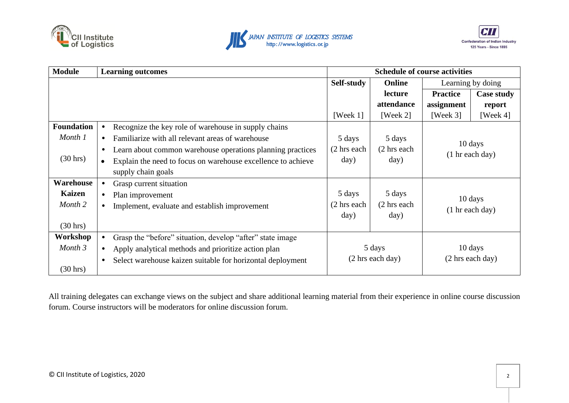





| <b>Module</b>      | <b>Learning outcomes</b>                                                  |                        | <b>Schedule of course activities</b>                     |                 |                                                |  |
|--------------------|---------------------------------------------------------------------------|------------------------|----------------------------------------------------------|-----------------|------------------------------------------------|--|
|                    |                                                                           | Self-study             | <b>Online</b>                                            |                 | Learning by doing                              |  |
|                    |                                                                           |                        | lecture                                                  | <b>Practice</b> | <b>Case study</b>                              |  |
|                    |                                                                           |                        | attendance                                               | assignment      | report                                         |  |
|                    |                                                                           | [Week $1$ ]            | [Week $2$ ]                                              | [Week $3$ ]     | [Week $4$ ]                                    |  |
| <b>Foundation</b>  | Recognize the key role of warehouse in supply chains                      |                        |                                                          |                 |                                                |  |
| Month 1            | Familiarize with all relevant areas of warehouse<br>$\bullet$             | 5 days                 | 5 days                                                   |                 | 10 days<br>$(1 \text{ hr}$ each day)           |  |
|                    | Learn about common warehouse operations planning practices<br>$\bullet$   | (2 hrs each            | (2 hrs each                                              |                 |                                                |  |
| $(30 \text{ hrs})$ | Explain the need to focus on warehouse excellence to achieve<br>$\bullet$ | day)                   | day)                                                     |                 |                                                |  |
|                    | supply chain goals                                                        |                        |                                                          |                 |                                                |  |
| Warehouse          | Grasp current situation<br>$\bullet$                                      |                        |                                                          |                 |                                                |  |
| <b>Kaizen</b>      | Plan improvement                                                          | 5 days                 | 5 days                                                   |                 | $10 \text{ days}$<br>$(1 \text{ hr}$ each day) |  |
| Month 2            | Implement, evaluate and establish improvement                             | $(2 \text{ hrs each})$ | $(2 \text{ hrs each})$                                   |                 |                                                |  |
|                    |                                                                           | day)                   | day)                                                     |                 |                                                |  |
| $(30 \text{ hrs})$ |                                                                           |                        |                                                          |                 |                                                |  |
| Workshop           | Grasp the "before" situation, develop "after" state image                 |                        |                                                          |                 |                                                |  |
| Month 3            | Apply analytical methods and prioritize action plan<br>$\bullet$          |                        | 10 days<br>5 days                                        |                 |                                                |  |
|                    | Select warehouse kaizen suitable for horizontal deployment                |                        | $(2 \text{ hrs each day})$<br>$(2 \text{ hrs each day})$ |                 |                                                |  |
| $(30 \text{ hrs})$ |                                                                           |                        |                                                          |                 |                                                |  |

All training delegates can exchange views on the subject and share additional learning material from their experience in online course discussion forum. Course instructors will be moderators for online discussion forum.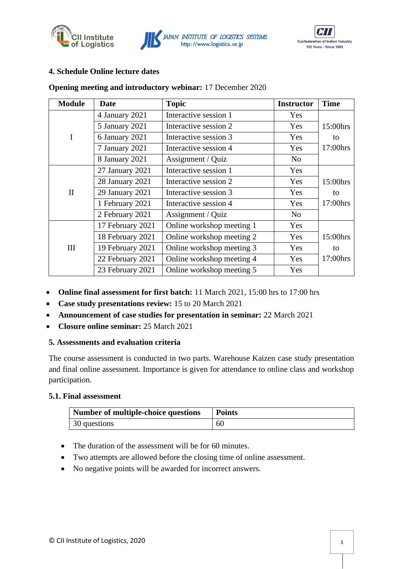





# **4. Schedule Online lecture dates**

### **Opening meeting and introductory webinar:** 17 December 2020

| <b>Module</b> | Date             | <b>Topic</b>              | <b>Instructor</b> | <b>Time</b> |
|---------------|------------------|---------------------------|-------------------|-------------|
|               | 4 January 2021   | Interactive session 1     | <b>Yes</b>        |             |
|               | 5 January 2021   | Interactive session 2     | <b>Yes</b>        | 15:00hrs    |
| $\mathbf I$   | 6 January 2021   | Interactive session 3     | Yes               | to          |
|               | 7 January 2021   | Interactive session 4     | Yes               | 17:00hrs    |
|               | 8 January 2021   | Assignment / Quiz         | N <sub>0</sub>    |             |
|               | 27 January 2021  | Interactive session 1     | Yes               |             |
|               | 28 January 2021  | Interactive session 2     | Yes               | 15:00hrs    |
| $\mathbf{I}$  | 29 January 2021  | Interactive session 3     | Yes               | to          |
|               | 1 February 2021  | Interactive session 4     | Yes               | 17:00hrs    |
|               | 2 February 2021  | Assignment / Quiz         | N <sub>o</sub>    |             |
|               | 17 February 2021 | Online workshop meeting 1 | <b>Yes</b>        |             |
|               | 18 February 2021 | Online workshop meeting 2 | Yes               | 15:00hrs    |
| III           | 19 February 2021 | Online workshop meeting 3 | Yes               | to          |
|               | 22 February 2021 | Online workshop meeting 4 | Yes               | 17:00hrs    |
|               | 23 February 2021 | Online workshop meeting 5 | Yes               |             |

- **Online final assessment for first batch:** 11 March 2021, 15:00 hrs to 17:00 hrs
- **Case study presentations review:** 15 to 20 March 2021
- **Announcement of case studies for presentation in seminar:** 22 March 2021
- **Closure online seminar:** 25 March 2021

# **5. Assessments and evaluation criteria**

The course assessment is conducted in two parts. Warehouse Kaizen case study presentation and final online assessment. Importance is given for attendance to online class and workshop participation.

#### **5.1. Final assessment**

| Number of multiple-choice questions | <b>Points</b> |
|-------------------------------------|---------------|
| 30 questions                        | -60           |

- The duration of the assessment will be for 60 minutes.
- Two attempts are allowed before the closing time of online assessment.
- No negative points will be awarded for incorrect answers.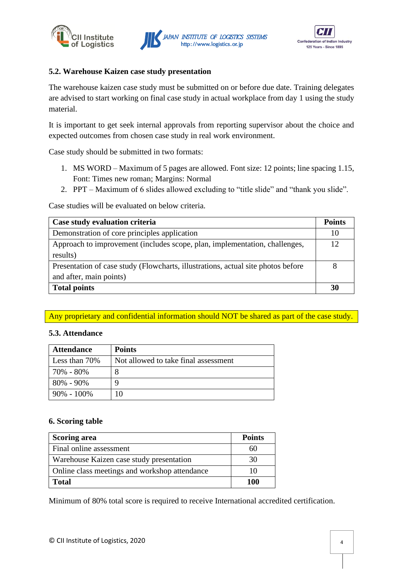





## **5.2. Warehouse Kaizen case study presentation**

The warehouse kaizen case study must be submitted on or before due date. Training delegates are advised to start working on final case study in actual workplace from day 1 using the study material.

It is important to get seek internal approvals from reporting supervisor about the choice and expected outcomes from chosen case study in real work environment.

Case study should be submitted in two formats:

- 1. MS WORD Maximum of 5 pages are allowed. Font size: 12 points; line spacing 1.15, Font: Times new roman; Margins: Normal
- 2. PPT Maximum of 6 slides allowed excluding to "title slide" and "thank you slide".

Case studies will be evaluated on below criteria.

| Case study evaluation criteria                                                   | <b>Points</b> |
|----------------------------------------------------------------------------------|---------------|
| Demonstration of core principles application                                     | 10            |
| Approach to improvement (includes scope, plan, implementation, challenges,       | 12            |
| results)                                                                         |               |
| Presentation of case study (Flowcharts, illustrations, actual site photos before |               |
| and after, main points)                                                          |               |
| <b>Total points</b>                                                              | 30            |

# Any proprietary and confidential information should NOT be shared as part of the case study.

#### **5.3. Attendance**

| <b>Attendance</b> | <b>Points</b>                        |
|-------------------|--------------------------------------|
| Less than $70\%$  | Not allowed to take final assessment |
| 70% - 80%         | 8                                    |
| $80\% - 90\%$     | 9                                    |
| $90\% - 100\%$    |                                      |

#### **6. Scoring table**

| <b>Scoring area</b>                           | <b>Points</b> |
|-----------------------------------------------|---------------|
| Final online assessment                       | 60            |
| Warehouse Kaizen case study presentation      | 30            |
| Online class meetings and workshop attendance | 10            |
| <b>Total</b>                                  | 100           |

Minimum of 80% total score is required to receive International accredited certification.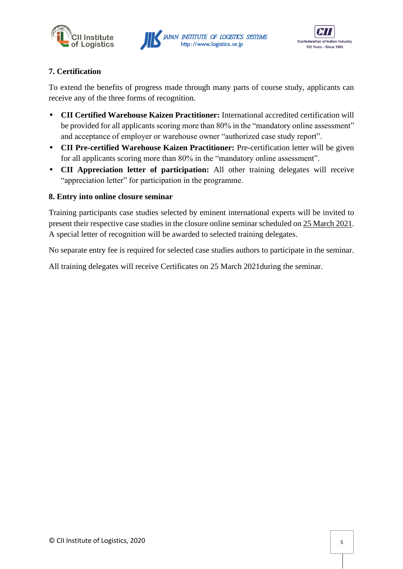





# **7. Certification**

To extend the benefits of progress made through many parts of course study, applicants can receive any of the three forms of recognition.

- **CII Certified Warehouse Kaizen Practitioner:** International accredited certification will be provided for all applicants scoring more than 80% in the "mandatory online assessment" and acceptance of employer or warehouse owner "authorized case study report".
- **CII Pre-certified Warehouse Kaizen Practitioner:** Pre-certification letter will be given for all applicants scoring more than 80% in the "mandatory online assessment".
- **CII Appreciation letter of participation:** All other training delegates will receive "appreciation letter" for participation in the programme.

# **8. Entry into online closure seminar**

Training participants case studies selected by eminent international experts will be invited to present their respective case studies in the closure online seminar scheduled on 25 March 2021. A special letter of recognition will be awarded to selected training delegates.

No separate entry fee is required for selected case studies authors to participate in the seminar.

All training delegates will receive Certificates on 25 March 2021during the seminar.